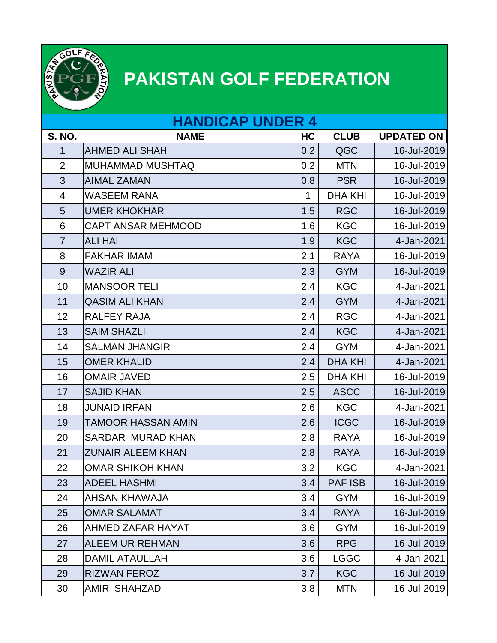

## **PAKISTAN GOLF FEDERATION**

| <b>HANDICAP UNDER 4</b> |                           |     |                |                   |  |  |
|-------------------------|---------------------------|-----|----------------|-------------------|--|--|
| <b>S. NO.</b>           | <b>NAME</b>               | HC  | <b>CLUB</b>    | <b>UPDATED ON</b> |  |  |
| 1                       | <b>AHMED ALI SHAH</b>     | 0.2 | QGC            | 16-Jul-2019       |  |  |
| $\overline{2}$          | <b>MUHAMMAD MUSHTAQ</b>   | 0.2 | <b>MTN</b>     | 16-Jul-2019       |  |  |
| 3                       | <b>AIMAL ZAMAN</b>        | 0.8 | <b>PSR</b>     | 16-Jul-2019       |  |  |
| $\overline{4}$          | <b>WASEEM RANA</b>        | 1   | <b>DHA KHI</b> | 16-Jul-2019       |  |  |
| 5                       | <b>UMER KHOKHAR</b>       | 1.5 | <b>RGC</b>     | 16-Jul-2019       |  |  |
| 6                       | <b>CAPT ANSAR MEHMOOD</b> | 1.6 | <b>KGC</b>     | 16-Jul-2019       |  |  |
| $\overline{7}$          | <b>ALI HAI</b>            | 1.9 | <b>KGC</b>     | 4-Jan-2021        |  |  |
| 8                       | <b>FAKHAR IMAM</b>        | 2.1 | <b>RAYA</b>    | 16-Jul-2019       |  |  |
| 9                       | <b>WAZIR ALI</b>          | 2.3 | <b>GYM</b>     | 16-Jul-2019       |  |  |
| 10                      | <b>MANSOOR TELI</b>       | 2.4 | <b>KGC</b>     | 4-Jan-2021        |  |  |
| 11                      | <b>QASIM ALI KHAN</b>     | 2.4 | <b>GYM</b>     | 4-Jan-2021        |  |  |
| 12                      | <b>RALFEY RAJA</b>        | 2.4 | <b>RGC</b>     | 4-Jan-2021        |  |  |
| 13                      | <b>SAIM SHAZLI</b>        | 2.4 | <b>KGC</b>     | 4-Jan-2021        |  |  |
| 14                      | <b>SALMAN JHANGIR</b>     | 2.4 | <b>GYM</b>     | 4-Jan-2021        |  |  |
| 15                      | <b>OMER KHALID</b>        | 2.4 | <b>DHA KHI</b> | 4-Jan-2021        |  |  |
| 16                      | <b>OMAIR JAVED</b>        | 2.5 | <b>DHA KHI</b> | 16-Jul-2019       |  |  |
| 17                      | <b>SAJID KHAN</b>         | 2.5 | <b>ASCC</b>    | 16-Jul-2019       |  |  |
| 18                      | <b>JUNAID IRFAN</b>       | 2.6 | <b>KGC</b>     | 4-Jan-2021        |  |  |
| 19                      | <b>TAMOOR HASSAN AMIN</b> | 2.6 | <b>ICGC</b>    | 16-Jul-2019       |  |  |
| 20                      | <b>SARDAR MURAD KHAN</b>  | 2.8 | <b>RAYA</b>    | 16-Jul-2019       |  |  |
| 21                      | <b>ZUNAIR ALEEM KHAN</b>  | 2.8 | <b>RAYA</b>    | 16-Jul-2019       |  |  |
| 22                      | <b>OMAR SHIKOH KHAN</b>   | 3.2 | <b>KGC</b>     | 4-Jan-2021        |  |  |
| 23                      | <b>ADEEL HASHMI</b>       | 3.4 | <b>PAF ISB</b> | 16-Jul-2019       |  |  |
| 24                      | <b>AHSAN KHAWAJA</b>      | 3.4 | <b>GYM</b>     | 16-Jul-2019       |  |  |
| 25                      | <b>OMAR SALAMAT</b>       | 3.4 | <b>RAYA</b>    | 16-Jul-2019       |  |  |
| 26                      | AHMED ZAFAR HAYAT         | 3.6 | <b>GYM</b>     | 16-Jul-2019       |  |  |
| 27                      | <b>ALEEM UR REHMAN</b>    | 3.6 | <b>RPG</b>     | 16-Jul-2019       |  |  |
| 28                      | <b>DAMIL ATAULLAH</b>     | 3.6 | <b>LGGC</b>    | 4-Jan-2021        |  |  |
| 29                      | <b>RIZWAN FEROZ</b>       | 3.7 | <b>KGC</b>     | 16-Jul-2019       |  |  |
| 30                      | AMIR SHAHZAD              | 3.8 | <b>MTN</b>     | 16-Jul-2019       |  |  |